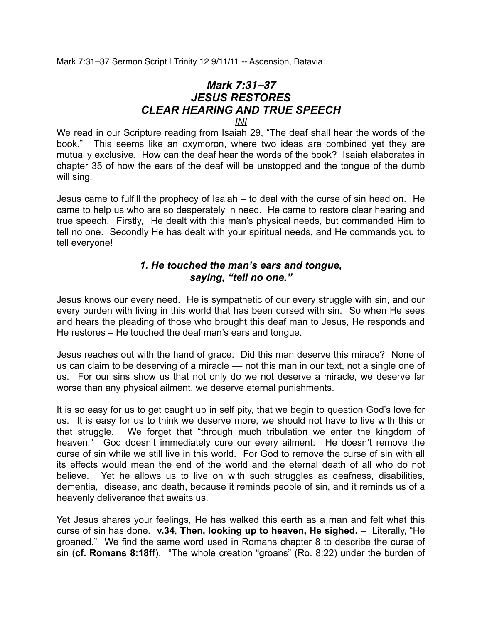Mark 7:31–37 Sermon Script | Trinity 12 9/11/11 -- Ascension, Batavia

## *Mark 7:31–37 JESUS RESTORES CLEAR HEARING AND TRUE SPEECH INI*

We read in our Scripture reading from Isaiah 29, "The deaf shall hear the words of the book." This seems like an oxymoron, where two ideas are combined yet they are mutually exclusive. How can the deaf hear the words of the book? Isaiah elaborates in chapter 35 of how the ears of the deaf will be unstopped and the tongue of the dumb will sing.

Jesus came to fulfill the prophecy of Isaiah – to deal with the curse of sin head on. He came to help us who are so desperately in need. He came to restore clear hearing and true speech. Firstly, He dealt with this man's physical needs, but commanded Him to tell no one. Secondly He has dealt with your spiritual needs, and He commands you to tell everyone!

## *1. He touched the man's ears and tongue, saying, "tell no one."*

Jesus knows our every need. He is sympathetic of our every struggle with sin, and our every burden with living in this world that has been cursed with sin. So when He sees and hears the pleading of those who brought this deaf man to Jesus, He responds and He restores – He touched the deaf man's ears and tongue.

Jesus reaches out with the hand of grace. Did this man deserve this mirace? None of us can claim to be deserving of a miracle — not this man in our text, not a single one of us. For our sins show us that not only do we not deserve a miracle, we deserve far worse than any physical ailment, we deserve eternal punishments.

It is so easy for us to get caught up in self pity, that we begin to question God's love for us. It is easy for us to think we deserve more, we should not have to live with this or that struggle. We forget that "through much tribulation we enter the kingdom of heaven." God doesn't immediately cure our every ailment. He doesn't remove the curse of sin while we still live in this world. For God to remove the curse of sin with all its effects would mean the end of the world and the eternal death of all who do not believe. Yet he allows us to live on with such struggles as deafness, disabilities, dementia, disease, and death, because it reminds people of sin, and it reminds us of a heavenly deliverance that awaits us.

Yet Jesus shares your feelings, He has walked this earth as a man and felt what this curse of sin has done. **v.34**, **Then, looking up to heaven, He sighed.** – Literally, "He groaned." We find the same word used in Romans chapter 8 to describe the curse of sin (**cf. Romans 8:18ff**). "The whole creation "groans" (Ro. 8:22) under the burden of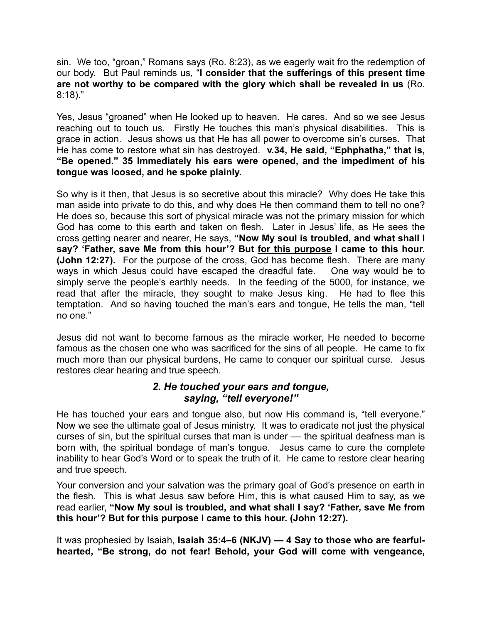sin. We too, "groan," Romans says (Ro. 8:23), as we eagerly wait fro the redemption of our body. But Paul reminds us, "**I consider that the sufferings of this present time are not worthy to be compared with the glory which shall be revealed in us** (Ro. 8:18)."

Yes, Jesus "groaned" when He looked up to heaven. He cares. And so we see Jesus reaching out to touch us. Firstly He touches this man's physical disabilities. This is grace in action. Jesus shows us that He has all power to overcome sin's curses. That He has come to restore what sin has destroyed. **v.34, He said, "Ephphatha," that is, "Be opened." 35 Immediately his ears were opened, and the impediment of his tongue was loosed, and he spoke plainly.**

So why is it then, that Jesus is so secretive about this miracle? Why does He take this man aside into private to do this, and why does He then command them to tell no one? He does so, because this sort of physical miracle was not the primary mission for which God has come to this earth and taken on flesh. Later in Jesus' life, as He sees the cross getting nearer and nearer, He says, **"Now My soul is troubled, and what shall I say? 'Father, save Me from this hour'? But for this purpose I came to this hour. (John 12:27).** For the purpose of the cross, God has become flesh. There are many ways in which Jesus could have escaped the dreadful fate. One way would be to simply serve the people's earthly needs. In the feeding of the 5000, for instance, we read that after the miracle, they sought to make Jesus king. He had to flee this temptation. And so having touched the man's ears and tongue, He tells the man, "tell no one."

Jesus did not want to become famous as the miracle worker, He needed to become famous as the chosen one who was sacrificed for the sins of all people. He came to fix much more than our physical burdens, He came to conquer our spiritual curse. Jesus restores clear hearing and true speech.

## *2. He touched your ears and tongue, saying, "tell everyone!"*

He has touched your ears and tongue also, but now His command is, "tell everyone." Now we see the ultimate goal of Jesus ministry. It was to eradicate not just the physical curses of sin, but the spiritual curses that man is under — the spiritual deafness man is born with, the spiritual bondage of man's tongue. Jesus came to cure the complete inability to hear God's Word or to speak the truth of it. He came to restore clear hearing and true speech.

Your conversion and your salvation was the primary goal of God's presence on earth in the flesh. This is what Jesus saw before Him, this is what caused Him to say, as we read earlier, **"Now My soul is troubled, and what shall I say? 'Father, save Me from this hour'? But for this purpose I came to this hour. (John 12:27).**

It was prophesied by Isaiah, **Isaiah 35:4–6 (NKJV) — 4 Say to those who are fearfulhearted, "Be strong, do not fear! Behold, your God will come with vengeance,**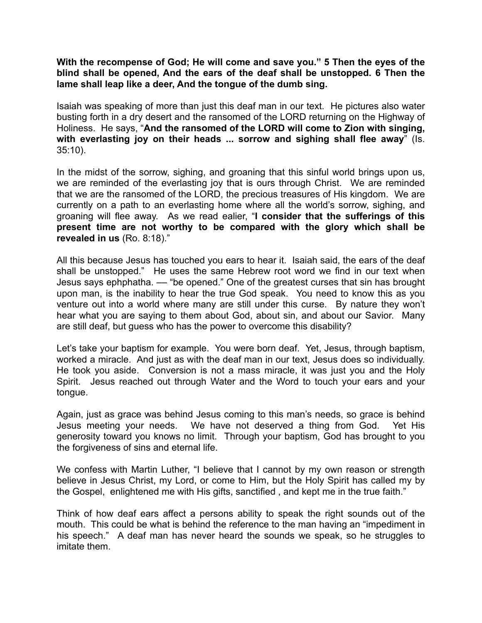**With the recompense of God; He will come and save you." 5 Then the eyes of the blind shall be opened, And the ears of the deaf shall be unstopped. 6 Then the lame shall leap like a deer, And the tongue of the dumb sing.**

Isaiah was speaking of more than just this deaf man in our text. He pictures also water busting forth in a dry desert and the ransomed of the LORD returning on the Highway of Holiness. He says, "**And the ransomed of the LORD will come to Zion with singing, with everlasting joy on their heads ... sorrow and sighing shall flee away**" (Is. 35:10).

In the midst of the sorrow, sighing, and groaning that this sinful world brings upon us, we are reminded of the everlasting joy that is ours through Christ. We are reminded that we are the ransomed of the LORD, the precious treasures of His kingdom. We are currently on a path to an everlasting home where all the world's sorrow, sighing, and groaning will flee away. As we read ealier, "**I consider that the sufferings of this present time are not worthy to be compared with the glory which shall be revealed in us** (Ro. 8:18)."

All this because Jesus has touched you ears to hear it. Isaiah said, the ears of the deaf shall be unstopped." He uses the same Hebrew root word we find in our text when Jesus says ephphatha. — "be opened." One of the greatest curses that sin has brought upon man, is the inability to hear the true God speak. You need to know this as you venture out into a world where many are still under this curse. By nature they won't hear what you are saying to them about God, about sin, and about our Savior. Many are still deaf, but guess who has the power to overcome this disability?

Let's take your baptism for example. You were born deaf. Yet, Jesus, through baptism, worked a miracle. And just as with the deaf man in our text, Jesus does so individually. He took you aside. Conversion is not a mass miracle, it was just you and the Holy Spirit. Jesus reached out through Water and the Word to touch your ears and your tongue.

Again, just as grace was behind Jesus coming to this man's needs, so grace is behind Jesus meeting your needs. We have not deserved a thing from God. Yet His generosity toward you knows no limit. Through your baptism, God has brought to you the forgiveness of sins and eternal life.

We confess with Martin Luther, "I believe that I cannot by my own reason or strength believe in Jesus Christ, my Lord, or come to Him, but the Holy Spirit has called my by the Gospel, enlightened me with His gifts, sanctified , and kept me in the true faith."

Think of how deaf ears affect a persons ability to speak the right sounds out of the mouth. This could be what is behind the reference to the man having an "impediment in his speech." A deaf man has never heard the sounds we speak, so he struggles to imitate them.